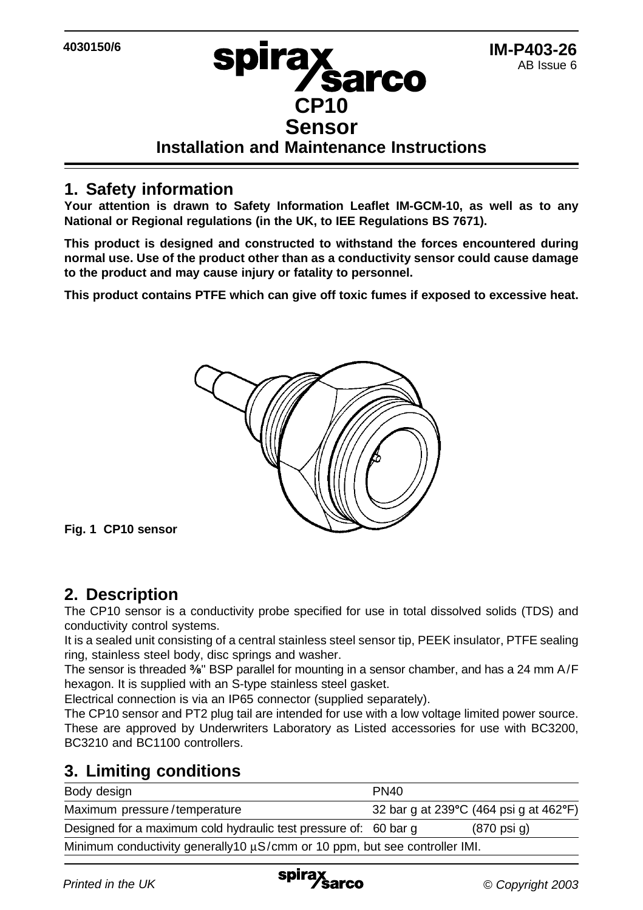### **IM-P403-26** AB Issue 6

# **Sensor Installation and Maintenance Instructions**

**CP10**

**/sarco** 

spira**x** 

## **1. Safety information**

**Your attention is drawn to Safety Information Leaflet IM-GCM-10, as well as to any National or Regional regulations (in the UK, to IEE Regulations BS 7671).**

**This product is designed and constructed to withstand the forces encountered during normal use. Use of the product other than as a conductivity sensor could cause damage to the product and may cause injury or fatality to personnel.**

**This product contains PTFE which can give off toxic fumes if exposed to excessive heat.**



**Fig. 1 CP10 sensor**

### **2. Description**

The CP10 sensor is a conductivity probe specified for use in total dissolved solids (TDS) and conductivity control systems.

It is a sealed unit consisting of a central stainless steel sensor tip, PEEK insulator, PTFE sealing ring, stainless steel body, disc springs and washer.

The sensor is threaded  $\frac{3}{8}$ " BSP parallel for mounting in a sensor chamber, and has a 24 mm A/F hexagon. It is supplied with an S-type stainless steel gasket.

Electrical connection is via an IP65 connector (supplied separately).

The CP10 sensor and PT2 plug tail are intended for use with a low voltage limited power source. These are approved by Underwriters Laboratory as Listed accessories for use with BC3200, BC3210 and BC1100 controllers.

# **3. Limiting conditions**

| Body design                                                                      | PN <sub>40</sub> |                                        |
|----------------------------------------------------------------------------------|------------------|----------------------------------------|
| Maximum pressure/temperature                                                     |                  | 32 bar q at 239°C (464 psi q at 462°F) |
| Designed for a maximum cold hydraulic test pressure of: 60 bar q                 |                  | $(870 \text{ psi } q)$                 |
| Minimum conductivity generally 10 $\mu$ S/cmm or 10 ppm, but see controller IMI. |                  |                                        |